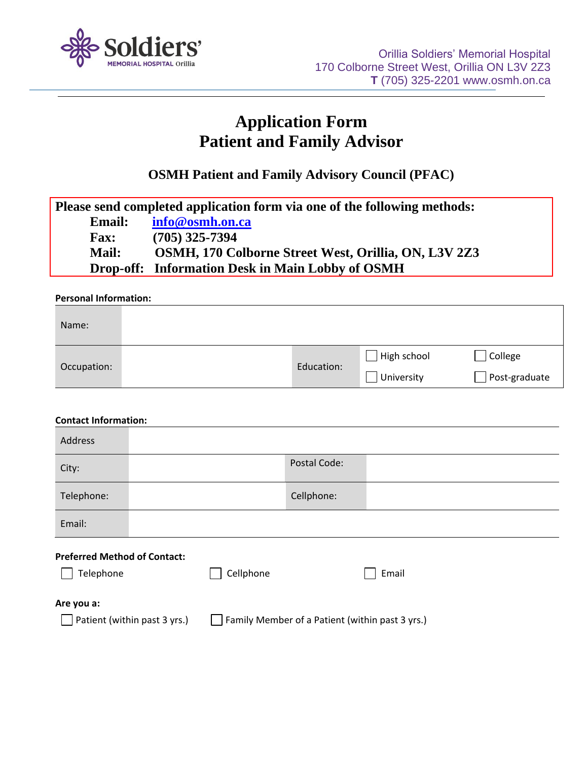

## **Application Form Patient and Family Advisor**

**OSMH Patient and Family Advisory Council (PFAC)**

| Please send completed application form via one of the following methods: |                                                      |  |
|--------------------------------------------------------------------------|------------------------------------------------------|--|
| <b>Email:</b>                                                            | info@osmh.on.ca                                      |  |
| <b>Fax:</b>                                                              | $(705)$ 325-7394                                     |  |
| <b>Mail:</b>                                                             | OSMH, 170 Colborne Street West, Orillia, ON, L3V 2Z3 |  |
|                                                                          | Drop-off: Information Desk in Main Lobby of OSMH     |  |

## **Personal Information:**

| Name:       |            |                           |                          |
|-------------|------------|---------------------------|--------------------------|
| Occupation: | Education: | High school<br>University | College<br>Post-graduate |

| <b>Contact Information:</b>                                                     |  |           |              |       |
|---------------------------------------------------------------------------------|--|-----------|--------------|-------|
| Address                                                                         |  |           |              |       |
| City:                                                                           |  |           | Postal Code: |       |
| Telephone:                                                                      |  |           | Cellphone:   |       |
| Email:                                                                          |  |           |              |       |
| <b>Preferred Method of Contact:</b>                                             |  |           |              |       |
| Telephone                                                                       |  | Cellphone |              | Email |
| Are you a:                                                                      |  |           |              |       |
| Patient (within past 3 yrs.)<br>Family Member of a Patient (within past 3 yrs.) |  |           |              |       |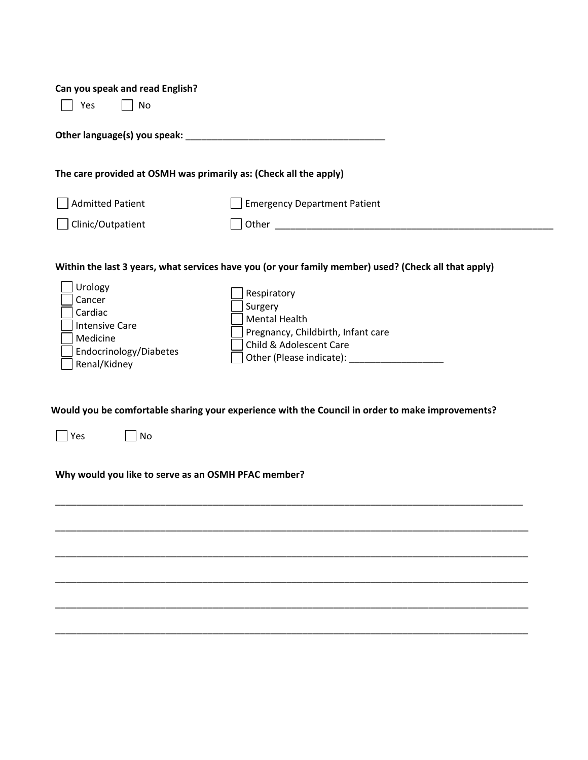| Can you speak and read English?<br>No<br>Yes                                                                |                                                                                                                 |
|-------------------------------------------------------------------------------------------------------------|-----------------------------------------------------------------------------------------------------------------|
|                                                                                                             |                                                                                                                 |
|                                                                                                             | The care provided at OSMH was primarily as: (Check all the apply)                                               |
| <b>Admitted Patient</b>                                                                                     | <b>Emergency Department Patient</b>                                                                             |
| Clinic/Outpatient                                                                                           |                                                                                                                 |
| Urology<br>Cancer<br>Cardiac<br><b>Intensive Care</b><br>Medicine<br>Endocrinology/Diabetes<br>Renal/Kidney | Respiratory<br>Surgery<br><b>Mental Health</b><br>Pregnancy, Childbirth, Infant care<br>Child & Adolescent Care |
| Yes<br>No<br>Why would you like to serve as an OSMH PFAC member?                                            | Would you be comfortable sharing your experience with the Council in order to make improvements?                |
|                                                                                                             |                                                                                                                 |
|                                                                                                             |                                                                                                                 |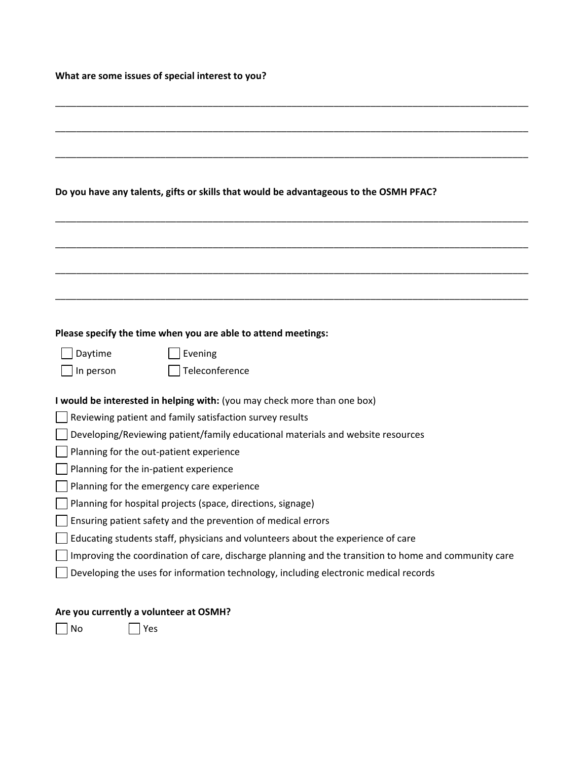## **What are some issues of special interest to you?**

|                                            | Do you have any talents, gifts or skills that would be advantageous to the OSMH PFAC?                |
|--------------------------------------------|------------------------------------------------------------------------------------------------------|
|                                            |                                                                                                      |
|                                            |                                                                                                      |
|                                            |                                                                                                      |
|                                            |                                                                                                      |
|                                            |                                                                                                      |
|                                            |                                                                                                      |
|                                            |                                                                                                      |
|                                            | Please specify the time when you are able to attend meetings:                                        |
| Daytime                                    | Evening                                                                                              |
| In person                                  | Teleconference                                                                                       |
|                                            | I would be interested in helping with: (you may check more than one box)                             |
|                                            | Reviewing patient and family satisfaction survey results                                             |
|                                            | Developing/Reviewing patient/family educational materials and website resources                      |
| Planning for the out-patient experience    |                                                                                                      |
| Planning for the in-patient experience     |                                                                                                      |
| Planning for the emergency care experience |                                                                                                      |
|                                            | Planning for hospital projects (space, directions, signage)                                          |
|                                            | Ensuring patient safety and the prevention of medical errors                                         |
|                                            | Educating students staff, physicians and volunteers about the experience of care                     |
|                                            | Improving the coordination of care, discharge planning and the transition to home and community care |
|                                            | Developing the uses for information technology, including electronic medical records                 |
|                                            |                                                                                                      |
| Are you currently a volunteer at OSMH?     |                                                                                                      |

No Yes